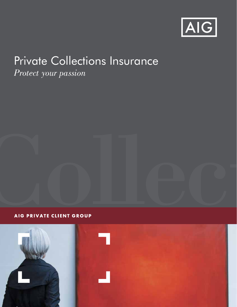

# Private Collections Insurance

*Protect your passion*

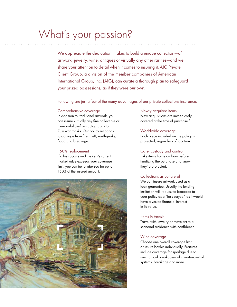## What's your passion?

We appreciate the dedication it takes to build a unique collection—of artwork, jewelry, wine, antiques or virtually any other rarities—and we share your attention to detail when it comes to insuring it. AIG Private Client Group, a division of the member companies of American International Group, Inc. (AIG), can curate a thorough plan to safeguard your prized possessions, as if they were our own.

Following are just a few of the many advantages of our private collections insurance:

### Comprehensive coverage

In addition to traditional artwork, you can insure virtually any fine collectible or memorabilia—from autographs to Zulu war masks. Our policy responds to damage from fire, theft, earthquake, flood and breakage.

## 150% replacement

If a loss occurs and the item's current market value exceeds your coverage limit, you can be reimbursed for up to 150% of the insured amount.



### Newly acquired items

New acquisitions are immediately covered at the time of purchase.\*

## Worldwide coverage

Each piece included on the policy is protected, regardless of location.

## Care, custody and control

Take items home on loan before finalizing the purchase and know they're protected.

## Collections as collateral

We can insure artwork used as a loan guarantee. Usually the lending institution will request to beadded to your policy as a "loss payee," as it would have a vested financial interest in its value.

## Items in transit

Travel with jewelry or move art to a seasonal residence with confidence.

## Wine coverage

Choose one overall coverage limit or insure bottles individually. Features include coverage for spoilage due to mechanical breakdown of climate-control systems, breakage and more.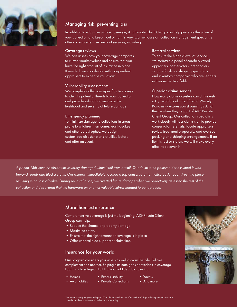

## Managing risk, preventing loss

In addition to robust insurance coverage, AIG Private Client Group can help preserve the value of your collection and keep it out of harm's way. Our in-house art collection management specialists offer a comprehensive array of services, including:

## Coverage reviews

We can assess how your coverage compares to current market values and ensure that you have the right amount of insurance in place. If needed, we coordinate with independent appraisers to expedite valuations.

### Vulnerability assessments

We complete collections-specific site surveys to identify potential threats to your collection and provide solutions to minimize the likelihood and severity of future damage.

## Emergency planning

To minimize damage to collections in areas prone to wildfires, hurricanes, earthquakes and other catastrophes, we design customized disaster plans to utilize before and after an event.

## Referral services

To ensure the highest level of service, we maintain a panel of carefully vetted appraisers, conservators, art handlers, storage facilities, shipping specialists and inventory companies who are leaders in their respective fields.

### Superior claims service

How many claims adjusters can distinguish a Cy Twombly abstract from a Wassily Kandinsky expressionist painting? All of them—when they're part of AIG Private Client Group. Our collection specialists work closely with our claims staff to provide conservator referrals, locate appraisers, review treatment proposals, and oversee packing and shipping arrangements. If an item is lost or stolen, we will make every effort to recover it.

*A prized 18th-century mirror was severely damaged when it fell from a wall. Our devastated policyholder assumed it was beyond repair and filed a claim. Our experts immediately located a top conservator to meticulously reconstruct the piece,*  resulting in no loss of value. During re-installation, we averted future damage when we proactively assessed the rest of the *collection and discovered that the hardware on another valuable mirror needed to be replaced.*

## More than just insurance

Comprehensive coverage is just the beginning. AIG Private Client Group can help:

- Reduce the chance of property damage
- Maximize safety
- Ensure that the right amount of coverage is in place
- Offer unparalleled support at claim time

## Insurance for your world

Our program considers your assets as well as your lifestyle. Policies complement one another, helping eliminate gaps or overlaps in coverage. Look to us to safeguard all that you hold dear by covering:

- Homes • Excess Liability
- Automobiles • Private Collections
- Yachts
	- And more…



utomatic coverage is provided up to 25% of the policy class limit effective for 90 days following the purchase; it is intended to allow ample time to add items to your policy.